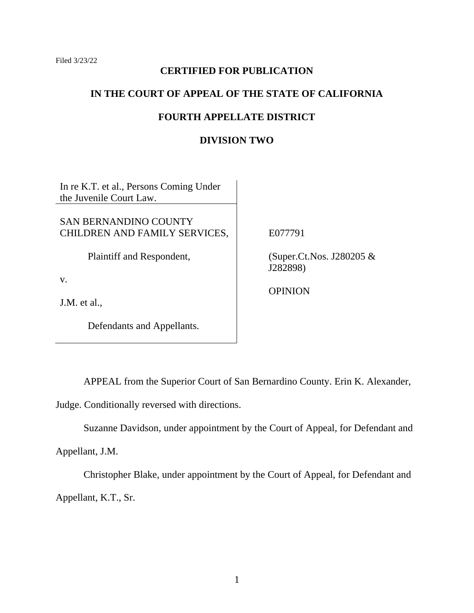## **CERTIFIED FOR PUBLICATION**

### **IN THE COURT OF APPEAL OF THE STATE OF CALIFORNIA**

# **FOURTH APPELLATE DISTRICT**

# **DIVISION TWO**

In re K.T. et al., Persons Coming Under the Juvenile Court Law.

SAN BERNANDINO COUNTY CHILDREN AND FAMILY SERVICES,

Plaintiff and Respondent,

v.

J.M. et al.,

Defendants and Appellants.

E077791

(Super.Ct.Nos. J280205 & J282898)

**OPINION** 

APPEAL from the Superior Court of San Bernardino County. Erin K. Alexander,

Judge. Conditionally reversed with directions.

Suzanne Davidson, under appointment by the Court of Appeal, for Defendant and

Appellant, J.M.

Christopher Blake, under appointment by the Court of Appeal, for Defendant and Appellant, K.T., Sr.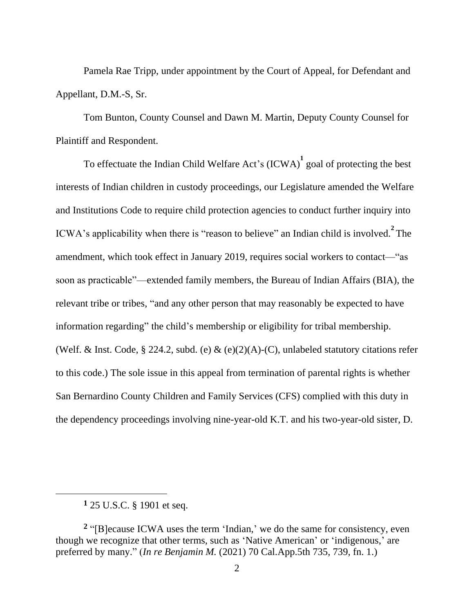Pamela Rae Tripp, under appointment by the Court of Appeal, for Defendant and Appellant, D.M.-S, Sr.

Tom Bunton, County Counsel and Dawn M. Martin, Deputy County Counsel for Plaintiff and Respondent.

To effectuate the Indian Child Welfare Act's (ICWA)<sup>1</sup> goal of protecting the best interests of Indian children in custody proceedings, our Legislature amended the Welfare and Institutions Code to require child protection agencies to conduct further inquiry into ICWA's applicability when there is "reason to believe" an Indian child is involved. **2** The amendment, which took effect in January 2019, requires social workers to contact—"as soon as practicable"—extended family members, the Bureau of Indian Affairs (BIA), the relevant tribe or tribes, "and any other person that may reasonably be expected to have information regarding" the child's membership or eligibility for tribal membership. (Welf. & Inst. Code, § 224.2, subd. (e) & (e)(2)(A)-(C), unlabeled statutory citations refer to this code.) The sole issue in this appeal from termination of parental rights is whether San Bernardino County Children and Family Services (CFS) complied with this duty in the dependency proceedings involving nine-year-old K.T. and his two-year-old sister, D.

**<sup>1</sup>** 25 U.S.C. § 1901 et seq.

**<sup>2</sup>** "[B]ecause ICWA uses the term 'Indian,' we do the same for consistency, even though we recognize that other terms, such as 'Native American' or 'indigenous,' are preferred by many." (*In re Benjamin M.* (2021) 70 Cal.App.5th 735, 739, fn. 1.)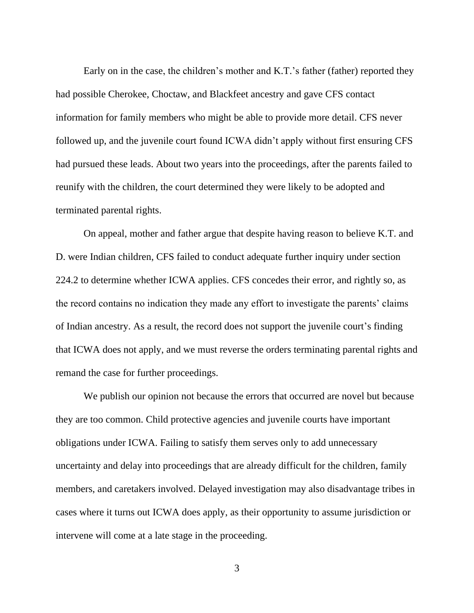Early on in the case, the children's mother and K.T.'s father (father) reported they had possible Cherokee, Choctaw, and Blackfeet ancestry and gave CFS contact information for family members who might be able to provide more detail. CFS never followed up, and the juvenile court found ICWA didn't apply without first ensuring CFS had pursued these leads. About two years into the proceedings, after the parents failed to reunify with the children, the court determined they were likely to be adopted and terminated parental rights.

On appeal, mother and father argue that despite having reason to believe K.T. and D. were Indian children, CFS failed to conduct adequate further inquiry under section 224.2 to determine whether ICWA applies. CFS concedes their error, and rightly so, as the record contains no indication they made any effort to investigate the parents' claims of Indian ancestry. As a result, the record does not support the juvenile court's finding that ICWA does not apply, and we must reverse the orders terminating parental rights and remand the case for further proceedings.

We publish our opinion not because the errors that occurred are novel but because they are too common. Child protective agencies and juvenile courts have important obligations under ICWA. Failing to satisfy them serves only to add unnecessary uncertainty and delay into proceedings that are already difficult for the children, family members, and caretakers involved. Delayed investigation may also disadvantage tribes in cases where it turns out ICWA does apply, as their opportunity to assume jurisdiction or intervene will come at a late stage in the proceeding.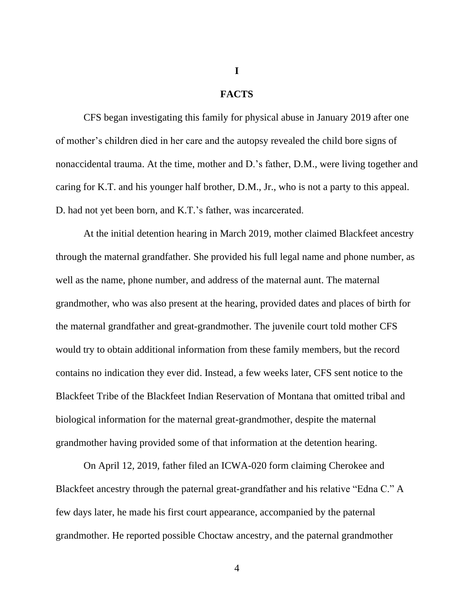# **I**

#### **FACTS**

CFS began investigating this family for physical abuse in January 2019 after one of mother's children died in her care and the autopsy revealed the child bore signs of nonaccidental trauma. At the time, mother and D.'s father, D.M., were living together and caring for K.T. and his younger half brother, D.M., Jr., who is not a party to this appeal. D. had not yet been born, and K.T.'s father, was incarcerated.

At the initial detention hearing in March 2019, mother claimed Blackfeet ancestry through the maternal grandfather. She provided his full legal name and phone number, as well as the name, phone number, and address of the maternal aunt. The maternal grandmother, who was also present at the hearing, provided dates and places of birth for the maternal grandfather and great-grandmother. The juvenile court told mother CFS would try to obtain additional information from these family members, but the record contains no indication they ever did. Instead, a few weeks later, CFS sent notice to the Blackfeet Tribe of the Blackfeet Indian Reservation of Montana that omitted tribal and biological information for the maternal great-grandmother, despite the maternal grandmother having provided some of that information at the detention hearing.

On April 12, 2019, father filed an ICWA-020 form claiming Cherokee and Blackfeet ancestry through the paternal great-grandfather and his relative "Edna C." A few days later, he made his first court appearance, accompanied by the paternal grandmother. He reported possible Choctaw ancestry, and the paternal grandmother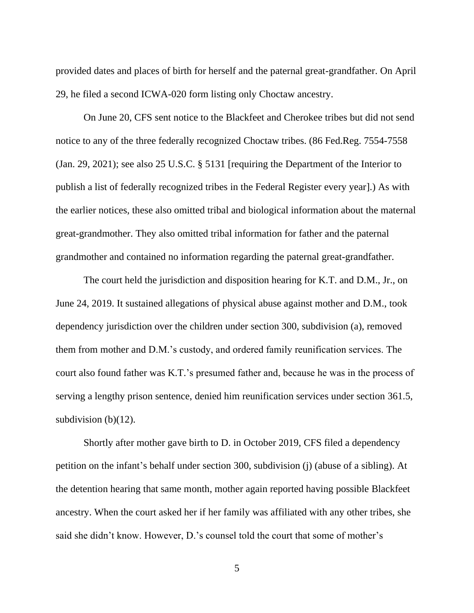provided dates and places of birth for herself and the paternal great-grandfather. On April 29, he filed a second ICWA-020 form listing only Choctaw ancestry.

On June 20, CFS sent notice to the Blackfeet and Cherokee tribes but did not send notice to any of the three federally recognized Choctaw tribes. (86 Fed.Reg. 7554-7558 (Jan. 29, 2021); see also 25 U.S.C. § 5131 [requiring the Department of the Interior to publish a list of federally recognized tribes in the Federal Register every year].) As with the earlier notices, these also omitted tribal and biological information about the maternal great-grandmother. They also omitted tribal information for father and the paternal grandmother and contained no information regarding the paternal great-grandfather.

The court held the jurisdiction and disposition hearing for K.T. and D.M., Jr., on June 24, 2019. It sustained allegations of physical abuse against mother and D.M., took dependency jurisdiction over the children under section 300, subdivision (a), removed them from mother and D.M.'s custody, and ordered family reunification services. The court also found father was K.T.'s presumed father and, because he was in the process of serving a lengthy prison sentence, denied him reunification services under section 361.5, subdivision  $(b)(12)$ .

Shortly after mother gave birth to D. in October 2019, CFS filed a dependency petition on the infant's behalf under section 300, subdivision (j) (abuse of a sibling). At the detention hearing that same month, mother again reported having possible Blackfeet ancestry. When the court asked her if her family was affiliated with any other tribes, she said she didn't know. However, D.'s counsel told the court that some of mother's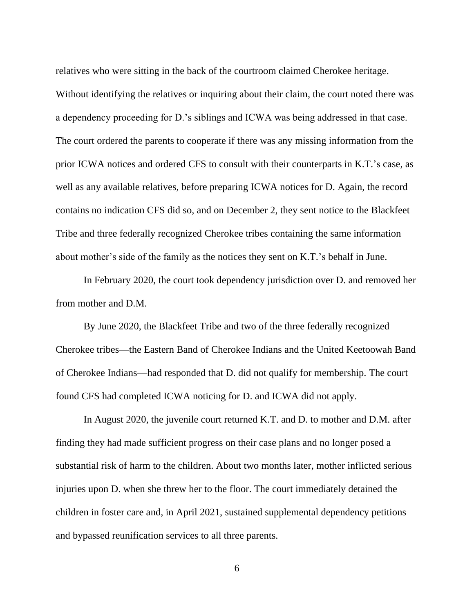relatives who were sitting in the back of the courtroom claimed Cherokee heritage. Without identifying the relatives or inquiring about their claim, the court noted there was a dependency proceeding for D.'s siblings and ICWA was being addressed in that case. The court ordered the parents to cooperate if there was any missing information from the prior ICWA notices and ordered CFS to consult with their counterparts in K.T.'s case, as well as any available relatives, before preparing ICWA notices for D. Again, the record contains no indication CFS did so, and on December 2, they sent notice to the Blackfeet Tribe and three federally recognized Cherokee tribes containing the same information about mother's side of the family as the notices they sent on K.T.'s behalf in June.

In February 2020, the court took dependency jurisdiction over D. and removed her from mother and D.M.

By June 2020, the Blackfeet Tribe and two of the three federally recognized Cherokee tribes—the Eastern Band of Cherokee Indians and the United Keetoowah Band of Cherokee Indians—had responded that D. did not qualify for membership. The court found CFS had completed ICWA noticing for D. and ICWA did not apply.

In August 2020, the juvenile court returned K.T. and D. to mother and D.M. after finding they had made sufficient progress on their case plans and no longer posed a substantial risk of harm to the children. About two months later, mother inflicted serious injuries upon D. when she threw her to the floor. The court immediately detained the children in foster care and, in April 2021, sustained supplemental dependency petitions and bypassed reunification services to all three parents.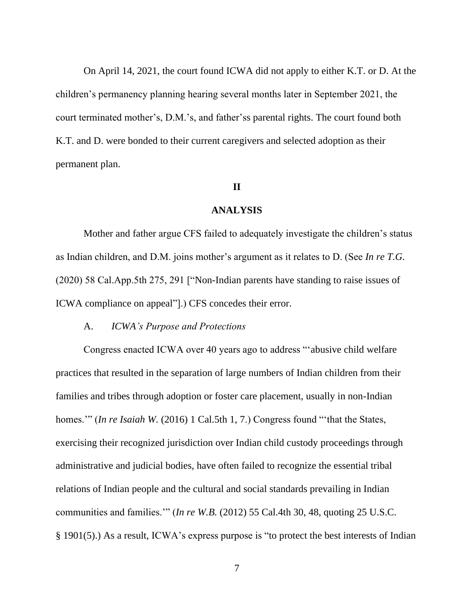On April 14, 2021, the court found ICWA did not apply to either K.T. or D. At the children's permanency planning hearing several months later in September 2021, the court terminated mother's, D.M.'s, and father'ss parental rights. The court found both K.T. and D. were bonded to their current caregivers and selected adoption as their permanent plan.

#### **II**

# **ANALYSIS**

Mother and father argue CFS failed to adequately investigate the children's status as Indian children, and D.M. joins mother's argument as it relates to D. (See *In re T.G.* (2020) 58 Cal.App.5th 275, 291 ["Non-Indian parents have standing to raise issues of ICWA compliance on appeal"].) CFS concedes their error.

#### A. *ICWA's Purpose and Protections*

Congress enacted ICWA over 40 years ago to address "'abusive child welfare practices that resulted in the separation of large numbers of Indian children from their families and tribes through adoption or foster care placement, usually in non-Indian homes." *(In re Isaiah W. (2016)* 1 Cal.5th 1, 7.) Congress found "that the States, exercising their recognized jurisdiction over Indian child custody proceedings through administrative and judicial bodies, have often failed to recognize the essential tribal relations of Indian people and the cultural and social standards prevailing in Indian communities and families.'" (*In re W.B.* (2012) 55 Cal.4th 30, 48, quoting 25 U.S.C. § 1901(5).) As a result, ICWA's express purpose is "to protect the best interests of Indian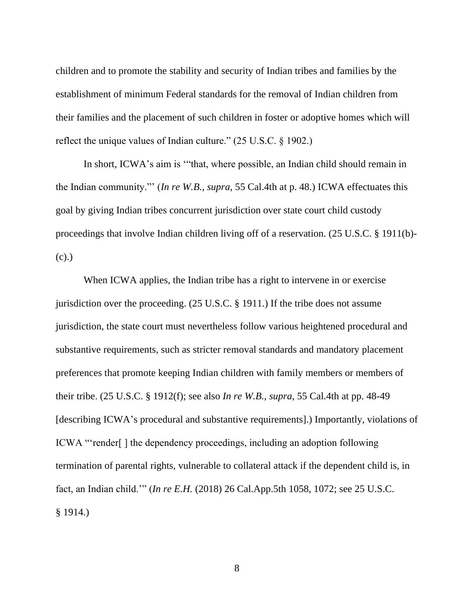children and to promote the stability and security of Indian tribes and families by the establishment of minimum Federal standards for the removal of Indian children from their families and the placement of such children in foster or adoptive homes which will reflect the unique values of Indian culture." (25 U.S.C. § 1902.)

In short, ICWA's aim is '"that, where possible, an Indian child should remain in the Indian community."' (*In re W.B.*, *supra*, 55 Cal.4th at p. 48.) ICWA effectuates this goal by giving Indian tribes concurrent jurisdiction over state court child custody proceedings that involve Indian children living off of a reservation. (25 U.S.C. § 1911(b)- (c).)

When ICWA applies, the Indian tribe has a right to intervene in or exercise jurisdiction over the proceeding. (25 U.S.C. § 1911.) If the tribe does not assume jurisdiction, the state court must nevertheless follow various heightened procedural and substantive requirements, such as stricter removal standards and mandatory placement preferences that promote keeping Indian children with family members or members of their tribe. (25 U.S.C. § 1912(f); see also *In re W.B.*, *supra*, 55 Cal.4th at pp. 48-49 [describing ICWA's procedural and substantive requirements].) Importantly, violations of ICWA "'render[ ] the dependency proceedings, including an adoption following termination of parental rights, vulnerable to collateral attack if the dependent child is, in fact, an Indian child.'" (*In re E.H.* (2018) 26 Cal.App.5th 1058, 1072; see 25 U.S.C. § 1914.)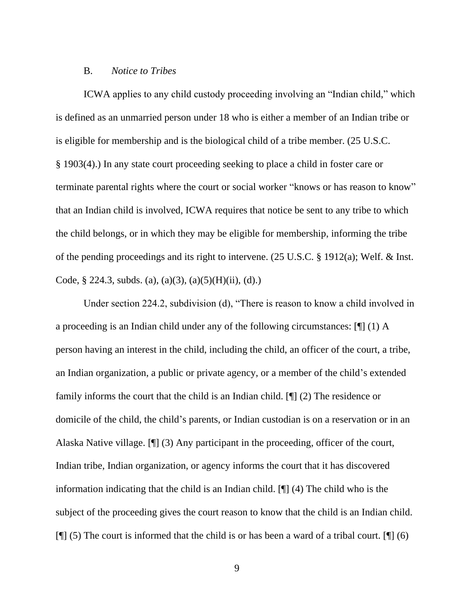#### B. *Notice to Tribes*

ICWA applies to any child custody proceeding involving an "Indian child," which is defined as an unmarried person under 18 who is either a member of an Indian tribe or is eligible for membership and is the biological child of a tribe member. (25 U.S.C. § 1903(4).) In any state court proceeding seeking to place a child in foster care or terminate parental rights where the court or social worker "knows or has reason to know" that an Indian child is involved, ICWA requires that notice be sent to any tribe to which the child belongs, or in which they may be eligible for membership, informing the tribe of the pending proceedings and its right to intervene. (25 U.S.C. § 1912(a); Welf. & Inst. Code,  $\S$  224.3, subds. (a), (a)(3), (a)(5)(H)(ii), (d).)

Under section 224.2, subdivision (d), "There is reason to know a child involved in a proceeding is an Indian child under any of the following circumstances: [¶] (1) A person having an interest in the child, including the child, an officer of the court, a tribe, an Indian organization, a public or private agency, or a member of the child's extended family informs the court that the child is an Indian child. [¶] (2) The residence or domicile of the child, the child's parents, or Indian custodian is on a reservation or in an Alaska Native village. [¶] (3) Any participant in the proceeding, officer of the court, Indian tribe, Indian organization, or agency informs the court that it has discovered information indicating that the child is an Indian child. [¶] (4) The child who is the subject of the proceeding gives the court reason to know that the child is an Indian child.  $[\n\mathbb{T}]$  (5) The court is informed that the child is or has been a ward of a tribal court.  $[\n\mathbb{T}]$  (6)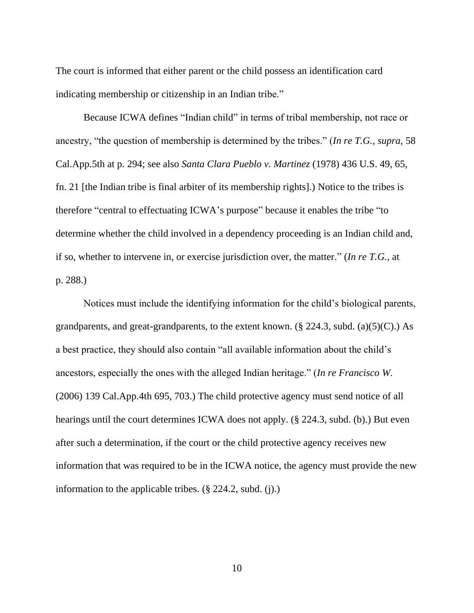The court is informed that either parent or the child possess an identification card indicating membership or citizenship in an Indian tribe."

Because ICWA defines "Indian child" in terms of tribal membership, not race or ancestry, "the question of membership is determined by the tribes." (*In re T.G.*, *supra*, 58 Cal.App.5th at p. 294; see also *Santa Clara Pueblo v. Martinez* (1978) 436 U.S. 49, 65, fn. 21 [the Indian tribe is final arbiter of its membership rights].) Notice to the tribes is therefore "central to effectuating ICWA's purpose" because it enables the tribe "to determine whether the child involved in a dependency proceeding is an Indian child and, if so, whether to intervene in, or exercise jurisdiction over, the matter." (*In re T.G.*, at p. 288.)

Notices must include the identifying information for the child's biological parents, grandparents, and great-grandparents, to the extent known.  $(\S$  224.3, subd. (a)(5)(C).) As a best practice, they should also contain "all available information about the child's ancestors, especially the ones with the alleged Indian heritage." (*In re Francisco W.* (2006) 139 Cal.App.4th 695, 703.) The child protective agency must send notice of all hearings until the court determines ICWA does not apply. (§ 224.3, subd. (b).) But even after such a determination, if the court or the child protective agency receives new information that was required to be in the ICWA notice, the agency must provide the new information to the applicable tribes. (§ 224.2, subd. (j).)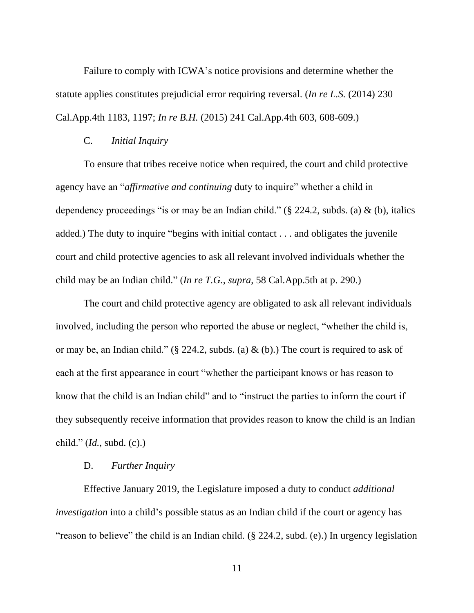Failure to comply with ICWA's notice provisions and determine whether the statute applies constitutes prejudicial error requiring reversal. (*In re L.S.* (2014) 230 Cal.App.4th 1183, 1197; *In re B.H.* (2015) 241 Cal.App.4th 603, 608-609.)

#### C. *Initial Inquiry*

To ensure that tribes receive notice when required, the court and child protective agency have an "*affirmative and continuing* duty to inquire" whether a child in dependency proceedings "is or may be an Indian child." ( $\S$  224.2, subds. (a) & (b), italics added.) The duty to inquire "begins with initial contact . . . and obligates the juvenile court and child protective agencies to ask all relevant involved individuals whether the child may be an Indian child." (*In re T.G.*, *supra*, 58 Cal.App.5th at p. 290.)

The court and child protective agency are obligated to ask all relevant individuals involved, including the person who reported the abuse or neglect, "whether the child is, or may be, an Indian child." (§ 224.2, subds. (a)  $\&$  (b).) The court is required to ask of each at the first appearance in court "whether the participant knows or has reason to know that the child is an Indian child" and to "instruct the parties to inform the court if they subsequently receive information that provides reason to know the child is an Indian child." (*Id.*, subd. (c).)

# D. *Further Inquiry*

Effective January 2019, the Legislature imposed a duty to conduct *additional investigation* into a child's possible status as an Indian child if the court or agency has "reason to believe" the child is an Indian child. (§ 224.2, subd. (e).) In urgency legislation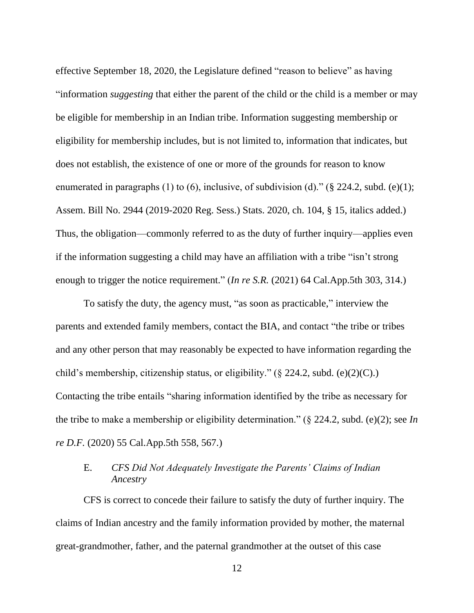effective September 18, 2020, the Legislature defined "reason to believe" as having "information *suggesting* that either the parent of the child or the child is a member or may be eligible for membership in an Indian tribe. Information suggesting membership or eligibility for membership includes, but is not limited to, information that indicates, but does not establish, the existence of one or more of the grounds for reason to know enumerated in paragraphs (1) to (6), inclusive, of subdivision (d)." (§ 224.2, subd. (e)(1); Assem. Bill No. 2944 (2019-2020 Reg. Sess.) Stats. 2020, ch. 104, § 15, italics added.) Thus, the obligation—commonly referred to as the duty of further inquiry—applies even if the information suggesting a child may have an affiliation with a tribe "isn't strong enough to trigger the notice requirement." (*In re S.R.* (2021) 64 Cal.App.5th 303, 314.)

To satisfy the duty, the agency must, "as soon as practicable," interview the parents and extended family members, contact the BIA, and contact "the tribe or tribes and any other person that may reasonably be expected to have information regarding the child's membership, citizenship status, or eligibility."  $(\S$  224.2, subd. (e)(2)(C).) Contacting the tribe entails "sharing information identified by the tribe as necessary for the tribe to make a membership or eligibility determination." (§ 224.2, subd. (e)(2); see *In re D.F.* (2020) 55 Cal.App.5th 558, 567.)

# E. *CFS Did Not Adequately Investigate the Parents' Claims of Indian Ancestry*

CFS is correct to concede their failure to satisfy the duty of further inquiry. The claims of Indian ancestry and the family information provided by mother, the maternal great-grandmother, father, and the paternal grandmother at the outset of this case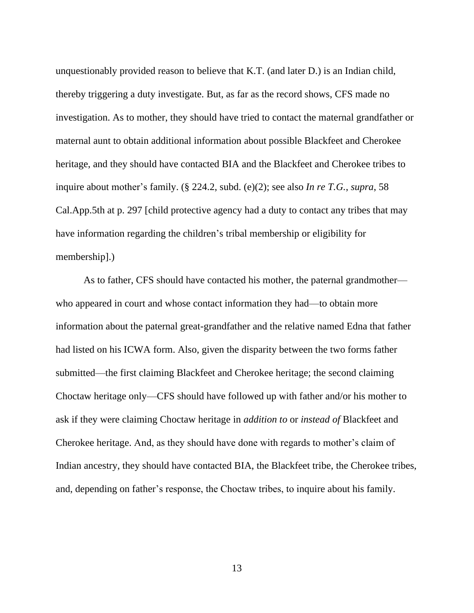unquestionably provided reason to believe that K.T. (and later D.) is an Indian child, thereby triggering a duty investigate. But, as far as the record shows, CFS made no investigation. As to mother, they should have tried to contact the maternal grandfather or maternal aunt to obtain additional information about possible Blackfeet and Cherokee heritage, and they should have contacted BIA and the Blackfeet and Cherokee tribes to inquire about mother's family. (§ 224.2, subd. (e)(2); see also *In re T.G.*, *supra*, 58 Cal.App.5th at p. 297 [child protective agency had a duty to contact any tribes that may have information regarding the children's tribal membership or eligibility for membership].)

As to father, CFS should have contacted his mother, the paternal grandmother who appeared in court and whose contact information they had—to obtain more information about the paternal great-grandfather and the relative named Edna that father had listed on his ICWA form. Also, given the disparity between the two forms father submitted—the first claiming Blackfeet and Cherokee heritage; the second claiming Choctaw heritage only—CFS should have followed up with father and/or his mother to ask if they were claiming Choctaw heritage in *addition to* or *instead of* Blackfeet and Cherokee heritage. And, as they should have done with regards to mother's claim of Indian ancestry, they should have contacted BIA, the Blackfeet tribe, the Cherokee tribes, and, depending on father's response, the Choctaw tribes, to inquire about his family.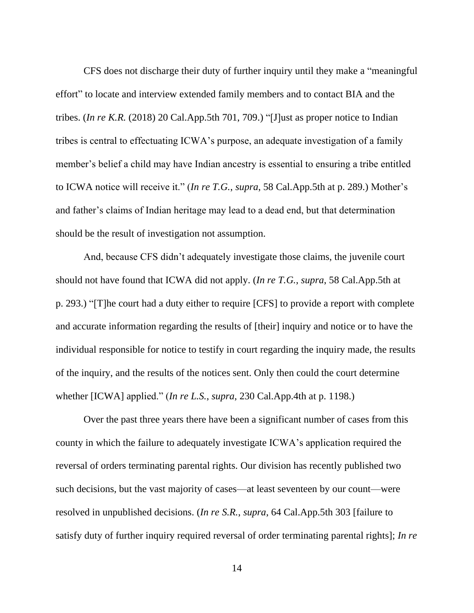CFS does not discharge their duty of further inquiry until they make a "meaningful effort" to locate and interview extended family members and to contact BIA and the tribes. (*In re K.R.* (2018) 20 Cal.App.5th 701, 709.) "[J]ust as proper notice to Indian tribes is central to effectuating ICWA's purpose, an adequate investigation of a family member's belief a child may have Indian ancestry is essential to ensuring a tribe entitled to ICWA notice will receive it." (*In re T.G.*, *supra*, 58 Cal.App.5th at p. 289.) Mother's and father's claims of Indian heritage may lead to a dead end, but that determination should be the result of investigation not assumption.

And, because CFS didn't adequately investigate those claims, the juvenile court should not have found that ICWA did not apply. (*In re T.G.*, *supra*, 58 Cal.App.5th at p. 293.) "[T]he court had a duty either to require [CFS] to provide a report with complete and accurate information regarding the results of [their] inquiry and notice or to have the individual responsible for notice to testify in court regarding the inquiry made, the results of the inquiry, and the results of the notices sent. Only then could the court determine whether [ICWA] applied." (*In re L.S.*, *supra*, 230 Cal.App.4th at p. 1198.)

Over the past three years there have been a significant number of cases from this county in which the failure to adequately investigate ICWA's application required the reversal of orders terminating parental rights. Our division has recently published two such decisions, but the vast majority of cases—at least seventeen by our count—were resolved in unpublished decisions. (*In re S.R.*, *supra*, 64 Cal.App.5th 303 [failure to satisfy duty of further inquiry required reversal of order terminating parental rights]; *In re*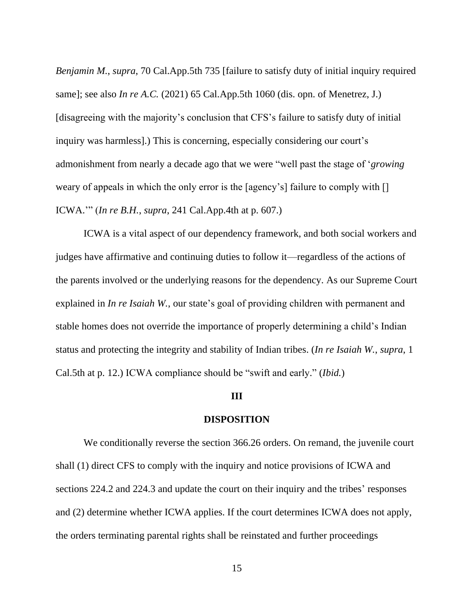*Benjamin M.*, *supra*, 70 Cal.App.5th 735 [failure to satisfy duty of initial inquiry required same]; see also *In re A.C.* (2021) 65 Cal.App.5th 1060 (dis. opn. of Menetrez, J.) [disagreeing with the majority's conclusion that CFS's failure to satisfy duty of initial inquiry was harmless].) This is concerning, especially considering our court's admonishment from nearly a decade ago that we were "well past the stage of '*growing* weary of appeals in which the only error is the [agency's] failure to comply with [] ICWA.'" (*In re B.H.*, *supra*, 241 Cal.App.4th at p. 607.)

ICWA is a vital aspect of our dependency framework, and both social workers and judges have affirmative and continuing duties to follow it—regardless of the actions of the parents involved or the underlying reasons for the dependency. As our Supreme Court explained in *In re Isaiah W.*, our state's goal of providing children with permanent and stable homes does not override the importance of properly determining a child's Indian status and protecting the integrity and stability of Indian tribes. (*In re Isaiah W.*, *supra*, 1 Cal.5th at p. 12.) ICWA compliance should be "swift and early." (*Ibid.*)

#### **III**

#### **DISPOSITION**

We conditionally reverse the section 366.26 orders. On remand, the juvenile court shall (1) direct CFS to comply with the inquiry and notice provisions of ICWA and sections 224.2 and 224.3 and update the court on their inquiry and the tribes' responses and (2) determine whether ICWA applies. If the court determines ICWA does not apply, the orders terminating parental rights shall be reinstated and further proceedings